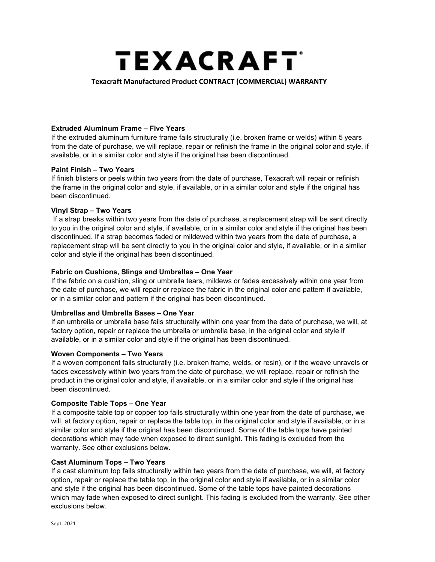# **TEXACRAFT**

## Texacraft Manufactured Product CONTRACT (COMMERCIAL) WARRANTY

#### Extruded Aluminum Frame – Five Years

If the extruded aluminum furniture frame fails structurally (i.e. broken frame or welds) within 5 years from the date of purchase, we will replace, repair or refinish the frame in the original color and style, if available, or in a similar color and style if the original has been discontinued.

#### Paint Finish – Two Years

If finish blisters or peels within two years from the date of purchase, Texacraft will repair or refinish the frame in the original color and style, if available, or in a similar color and style if the original has been discontinued.

## Vinyl Strap – Two Years

 If a strap breaks within two years from the date of purchase, a replacement strap will be sent directly to you in the original color and style, if available, or in a similar color and style if the original has been discontinued. If a strap becomes faded or mildewed within two years from the date of purchase, a replacement strap will be sent directly to you in the original color and style, if available, or in a similar color and style if the original has been discontinued.

## Fabric on Cushions, Slings and Umbrellas – One Year

If the fabric on a cushion, sling or umbrella tears, mildews or fades excessively within one year from the date of purchase, we will repair or replace the fabric in the original color and pattern if available, or in a similar color and pattern if the original has been discontinued.

#### Umbrellas and Umbrella Bases – One Year

If an umbrella or umbrella base fails structurally within one year from the date of purchase, we will, at factory option, repair or replace the umbrella or umbrella base, in the original color and style if available, or in a similar color and style if the original has been discontinued.

#### Woven Components – Two Years

If a woven component fails structurally (i.e. broken frame, welds, or resin), or if the weave unravels or fades excessively within two years from the date of purchase, we will replace, repair or refinish the product in the original color and style, if available, or in a similar color and style if the original has been discontinued.

#### Composite Table Tops – One Year

If a composite table top or copper top fails structurally within one year from the date of purchase, we will, at factory option, repair or replace the table top, in the original color and style if available, or in a similar color and style if the original has been discontinued. Some of the table tops have painted decorations which may fade when exposed to direct sunlight. This fading is excluded from the warranty. See other exclusions below.

#### Cast Aluminum Tops – Two Years

If a cast aluminum top fails structurally within two years from the date of purchase, we will, at factory option, repair or replace the table top, in the original color and style if available, or in a similar color and style if the original has been discontinued. Some of the table tops have painted decorations which may fade when exposed to direct sunlight. This fading is excluded from the warranty. See other exclusions below.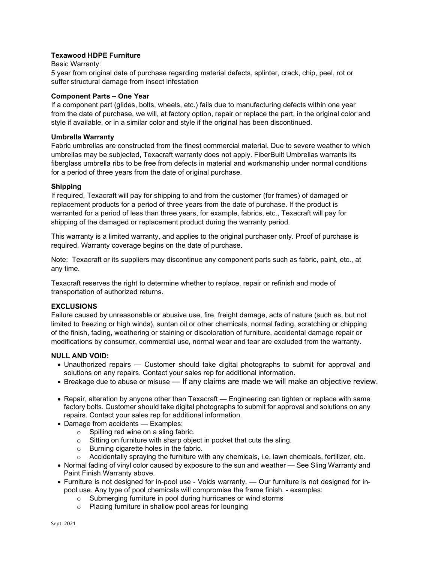## Texawood HDPE Furniture

#### Basic Warranty:

5 year from original date of purchase regarding material defects, splinter, crack, chip, peel, rot or suffer structural damage from insect infestation

#### Component Parts – One Year

If a component part (glides, bolts, wheels, etc.) fails due to manufacturing defects within one year from the date of purchase, we will, at factory option, repair or replace the part, in the original color and style if available, or in a similar color and style if the original has been discontinued.

#### Umbrella Warranty

Fabric umbrellas are constructed from the finest commercial material. Due to severe weather to which umbrellas may be subjected, Texacraft warranty does not apply. FiberBuilt Umbrellas warrants its fiberglass umbrella ribs to be free from defects in material and workmanship under normal conditions for a period of three years from the date of original purchase.

#### Shipping

If required, Texacraft will pay for shipping to and from the customer (for frames) of damaged or replacement products for a period of three years from the date of purchase. If the product is warranted for a period of less than three years, for example, fabrics, etc., Texacraft will pay for shipping of the damaged or replacement product during the warranty period.

This warranty is a limited warranty, and applies to the original purchaser only. Proof of purchase is required. Warranty coverage begins on the date of purchase.

Note: Texacraft or its suppliers may discontinue any component parts such as fabric, paint, etc., at any time.

Texacraft reserves the right to determine whether to replace, repair or refinish and mode of transportation of authorized returns.

#### EXCLUSIONS

Failure caused by unreasonable or abusive use, fire, freight damage, acts of nature (such as, but not limited to freezing or high winds), suntan oil or other chemicals, normal fading, scratching or chipping of the finish, fading, weathering or staining or discoloration of furniture, accidental damage repair or modifications by consumer, commercial use, normal wear and tear are excluded from the warranty.

#### NULL AND VOID:

- Unauthorized repairs Customer should take digital photographs to submit for approval and solutions on any repairs. Contact your sales rep for additional information.
- Breakage due to abuse or misuse If any claims are made we will make an objective review.
- Repair, alteration by anyone other than Texacraft Engineering can tighten or replace with same factory bolts. Customer should take digital photographs to submit for approval and solutions on any repairs. Contact your sales rep for additional information.
- Damage from accidents Examples:
	- o Spilling red wine on a sling fabric.
	- $\circ$  Sitting on furniture with sharp object in pocket that cuts the sling.
	- o Burning cigarette holes in the fabric.
	- o Accidentally spraying the furniture with any chemicals, i.e. lawn chemicals, fertilizer, etc.
- Normal fading of vinyl color caused by exposure to the sun and weather See Sling Warranty and Paint Finish Warranty above.
- Furniture is not designed for in-pool use Voids warranty. Our furniture is not designed for inpool use. Any type of pool chemicals will compromise the frame finish. - examples:
	- o Submerging furniture in pool during hurricanes or wind storms
	- o Placing furniture in shallow pool areas for lounging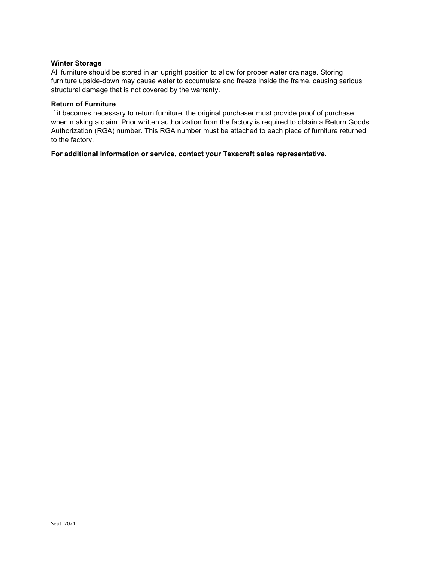#### Winter Storage

All furniture should be stored in an upright position to allow for proper water drainage. Storing furniture upside-down may cause water to accumulate and freeze inside the frame, causing serious structural damage that is not covered by the warranty.

#### Return of Furniture

If it becomes necessary to return furniture, the original purchaser must provide proof of purchase when making a claim. Prior written authorization from the factory is required to obtain a Return Goods Authorization (RGA) number. This RGA number must be attached to each piece of furniture returned to the factory.

For additional information or service, contact your Texacraft sales representative.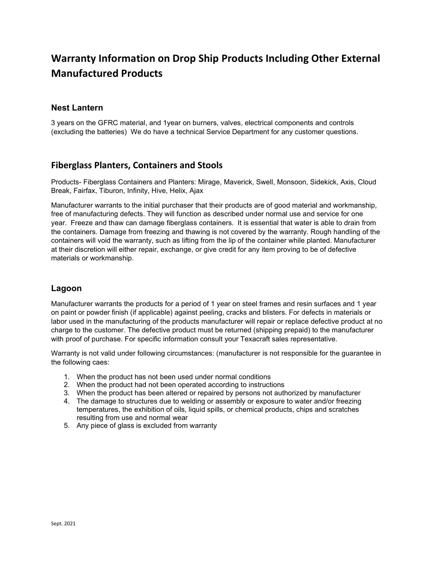# Warranty Information on Drop Ship Products Including Other External Manufactured Products

## Nest Lantern

3 years on the GFRC material, and 1year on burners, valves, electrical components and controls (excluding the batteries) We do have a technical Service Department for any customer questions.

## Fiberglass Planters, Containers and Stools

Products- Fiberglass Containers and Planters: Mirage, Maverick, Swell, Monsoon, Sidekick, Axis, Cloud Break, Fairfax, Tiburon, Infinity, Hive, Helix, Ajax

Manufacturer warrants to the initial purchaser that their products are of good material and workmanship, free of manufacturing defects. They will function as described under normal use and service for one year. Freeze and thaw can damage fiberglass containers. It is essential that water is able to drain from the containers. Damage from freezing and thawing is not covered by the warranty. Rough handling of the containers will void the warranty, such as lifting from the lip of the container while planted. Manufacturer at their discretion will either repair, exchange, or give credit for any item proving to be of defective materials or workmanship.

## Lagoon

Manufacturer warrants the products for a period of 1 year on steel frames and resin surfaces and 1 year on paint or powder finish (if applicable) against peeling, cracks and blisters. For defects in materials or labor used in the manufacturing of the products manufacturer will repair or replace defective product at no charge to the customer. The defective product must be returned (shipping prepaid) to the manufacturer with proof of purchase. For specific information consult your Texacraft sales representative.

Warranty is not valid under following circumstances: (manufacturer is not responsible for the guarantee in the following caes:

- 1. When the product has not been used under normal conditions
- 2. When the product had not been operated according to instructions
- 3. When the product has been altered or repaired by persons not authorized by manufacturer
- 4. The damage to structures due to welding or assembly or exposure to water and/or freezing temperatures, the exhibition of oils, liquid spills, or chemical products, chips and scratches resulting from use and normal wear
- 5. Any piece of glass is excluded from warranty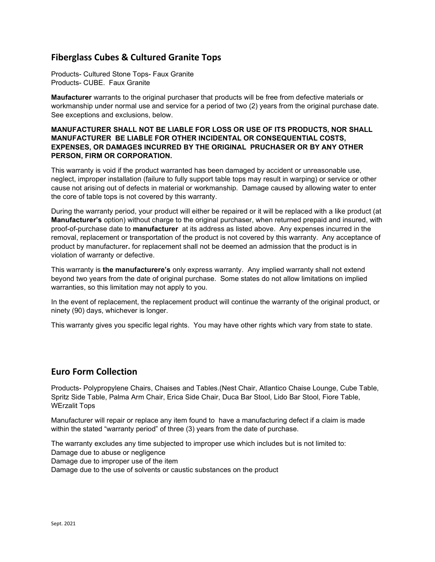## Fiberglass Cubes & Cultured Granite Tops

Products- Cultured Stone Tops- Faux Granite Products- CUBE. Faux Granite

Maufacturer warrants to the original purchaser that products will be free from defective materials or workmanship under normal use and service for a period of two (2) years from the original purchase date. See exceptions and exclusions, below.

## MANUFACTURER SHALL NOT BE LIABLE FOR LOSS OR USE OF ITS PRODUCTS, NOR SHALL MANUFACTURER BE LIABLE FOR OTHER INCIDENTAL OR CONSEQUENTIAL COSTS, EXPENSES, OR DAMAGES INCURRED BY THE ORIGINAL PRUCHASER OR BY ANY OTHER PERSON, FIRM OR CORPORATION.

This warranty is void if the product warranted has been damaged by accident or unreasonable use, neglect, improper installation (failure to fully support table tops may result in warping) or service or other cause not arising out of defects in material or workmanship. Damage caused by allowing water to enter the core of table tops is not covered by this warranty.

During the warranty period, your product will either be repaired or it will be replaced with a like product (at Manufacturer's option) without charge to the original purchaser, when returned prepaid and insured, with proof-of-purchase date to manufacturer at its address as listed above. Any expenses incurred in the removal, replacement or transportation of the product is not covered by this warranty. Any acceptance of product by manufacturer. for replacement shall not be deemed an admission that the product is in violation of warranty or defective.

This warranty is the manufacturere's only express warranty. Any implied warranty shall not extend beyond two years from the date of original purchase. Some states do not allow limitations on implied warranties, so this limitation may not apply to you.

In the event of replacement, the replacement product will continue the warranty of the original product, or ninety (90) days, whichever is longer.

This warranty gives you specific legal rights. You may have other rights which vary from state to state.

## Euro Form Collection

Products- Polypropylene Chairs, Chaises and Tables.(Nest Chair, Atlantico Chaise Lounge, Cube Table, Spritz Side Table, Palma Arm Chair, Erica Side Chair, Duca Bar Stool, Lido Bar Stool, Fiore Table, WErzalit Tops

Manufacturer will repair or replace any item found to have a manufacturing defect if a claim is made within the stated "warranty period" of three (3) years from the date of purchase.

The warranty excludes any time subjected to improper use which includes but is not limited to: Damage due to abuse or negligence Damage due to improper use of the item

Damage due to the use of solvents or caustic substances on the product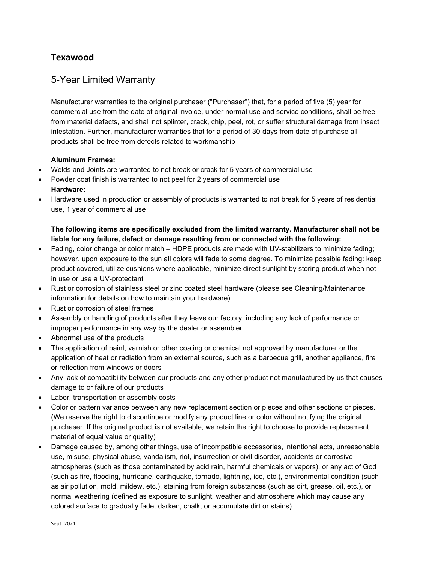## Texawood

## 5-Year Limited Warranty

Manufacturer warranties to the original purchaser ("Purchaser") that, for a period of five (5) year for commercial use from the date of original invoice, under normal use and service conditions, shall be free from material defects, and shall not splinter, crack, chip, peel, rot, or suffer structural damage from insect infestation. Further, manufacturer warranties that for a period of 30-days from date of purchase all products shall be free from defects related to workmanship

## Aluminum Frames:

- Welds and Joints are warranted to not break or crack for 5 years of commercial use
- Powder coat finish is warranted to not peel for 2 years of commercial use Hardware:
- Hardware used in production or assembly of products is warranted to not break for 5 years of residential use, 1 year of commercial use

## The following items are specifically excluded from the limited warranty. Manufacturer shall not be liable for any failure, defect or damage resulting from or connected with the following:

- Fading, color change or color match HDPE products are made with UV-stabilizers to minimize fading; however, upon exposure to the sun all colors will fade to some degree. To minimize possible fading: keep product covered, utilize cushions where applicable, minimize direct sunlight by storing product when not in use or use a UV-protectant
- Rust or corrosion of stainless steel or zinc coated steel hardware (please see Cleaning/Maintenance information for details on how to maintain your hardware)
- Rust or corrosion of steel frames
- Assembly or handling of products after they leave our factory, including any lack of performance or improper performance in any way by the dealer or assembler
- Abnormal use of the products
- The application of paint, varnish or other coating or chemical not approved by manufacturer or the application of heat or radiation from an external source, such as a barbecue grill, another appliance, fire or reflection from windows or doors
- Any lack of compatibility between our products and any other product not manufactured by us that causes damage to or failure of our products
- Labor, transportation or assembly costs
- Color or pattern variance between any new replacement section or pieces and other sections or pieces. (We reserve the right to discontinue or modify any product line or color without notifying the original purchaser. If the original product is not available, we retain the right to choose to provide replacement material of equal value or quality)
- Damage caused by, among other things, use of incompatible accessories, intentional acts, unreasonable use, misuse, physical abuse, vandalism, riot, insurrection or civil disorder, accidents or corrosive atmospheres (such as those contaminated by acid rain, harmful chemicals or vapors), or any act of God (such as fire, flooding, hurricane, earthquake, tornado, lightning, ice, etc.), environmental condition (such as air pollution, mold, mildew, etc.), staining from foreign substances (such as dirt, grease, oil, etc.), or normal weathering (defined as exposure to sunlight, weather and atmosphere which may cause any colored surface to gradually fade, darken, chalk, or accumulate dirt or stains)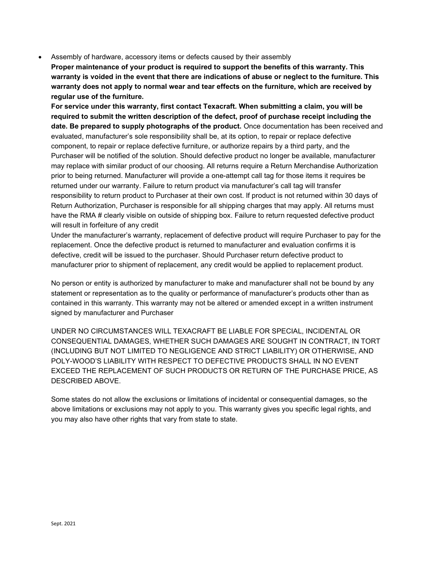Assembly of hardware, accessory items or defects caused by their assembly

Proper maintenance of your product is required to support the benefits of this warranty. This warranty is voided in the event that there are indications of abuse or neglect to the furniture. This warranty does not apply to normal wear and tear effects on the furniture, which are received by regular use of the furniture.

For service under this warranty, first contact Texacraft. When submitting a claim, you will be required to submit the written description of the defect, proof of purchase receipt including the date. Be prepared to supply photographs of the product. Once documentation has been received and evaluated, manufacturer's sole responsibility shall be, at its option, to repair or replace defective component, to repair or replace defective furniture, or authorize repairs by a third party, and the Purchaser will be notified of the solution. Should defective product no longer be available, manufacturer may replace with similar product of our choosing. All returns require a Return Merchandise Authorization prior to being returned. Manufacturer will provide a one-attempt call tag for those items it requires be returned under our warranty. Failure to return product via manufacturer's call tag will transfer responsibility to return product to Purchaser at their own cost. If product is not returned within 30 days of Return Authorization, Purchaser is responsible for all shipping charges that may apply. All returns must have the RMA # clearly visible on outside of shipping box. Failure to return requested defective product will result in forfeiture of any credit

Under the manufacturer's warranty, replacement of defective product will require Purchaser to pay for the replacement. Once the defective product is returned to manufacturer and evaluation confirms it is defective, credit will be issued to the purchaser. Should Purchaser return defective product to manufacturer prior to shipment of replacement, any credit would be applied to replacement product.

No person or entity is authorized by manufacturer to make and manufacturer shall not be bound by any statement or representation as to the quality or performance of manufacturer's products other than as contained in this warranty. This warranty may not be altered or amended except in a written instrument signed by manufacturer and Purchaser

UNDER NO CIRCUMSTANCES WILL TEXACRAFT BE LIABLE FOR SPECIAL, INCIDENTAL OR CONSEQUENTIAL DAMAGES, WHETHER SUCH DAMAGES ARE SOUGHT IN CONTRACT, IN TORT (INCLUDING BUT NOT LIMITED TO NEGLIGENCE AND STRICT LIABILITY) OR OTHERWISE, AND POLY-WOOD'S LIABILITY WITH RESPECT TO DEFECTIVE PRODUCTS SHALL IN NO EVENT EXCEED THE REPLACEMENT OF SUCH PRODUCTS OR RETURN OF THE PURCHASE PRICE, AS DESCRIBED ABOVE.

Some states do not allow the exclusions or limitations of incidental or consequential damages, so the above limitations or exclusions may not apply to you. This warranty gives you specific legal rights, and you may also have other rights that vary from state to state.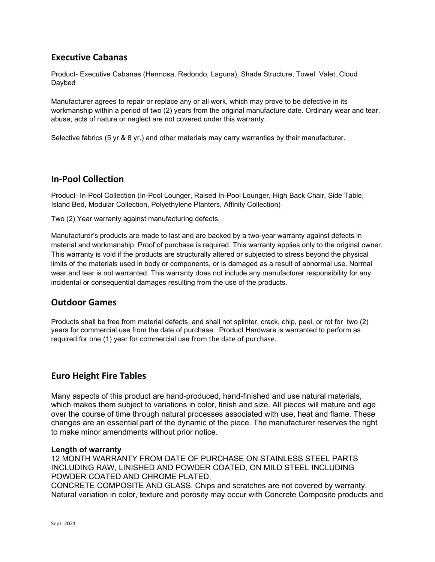## Executive Cabanas

Product- Executive Cabanas (Hermosa, Redondo, Laguna), Shade Structure, Towel Valet, Cloud Daybed

Manufacturer agrees to repair or replace any or all work, which may prove to be defective in its workmanship within a period of two (2) years from the original manufacture date. Ordinary wear and tear, abuse, acts of nature or neglect are not covered under this warranty.

Selective fabrics (5 yr & 8 yr.) and other materials may carry warranties by their manufacturer.

## In-Pool Collection

Product- In-Pool Collection (In-Pool Lounger, Raised In-Pool Lounger, High Back Chair, Side Table, Island Bed, Modular Collection, Polyethylene Planters, Affinity Collection)

Two (2) Year warranty against manufacturing defects.

Manufacturer's products are made to last and are backed by a two-year warranty against defects in material and workmanship. Proof of purchase is required. This warranty applies only to the original owner. This warranty is void if the products are structurally altered or subjected to stress beyond the physical limits of the materials used in body or components, or is damaged as a result of abnormal use. Normal wear and tear is not warranted. This warranty does not include any manufacturer responsibility for any incidental or consequential damages resulting from the use of the products.

## Outdoor Games

Products shall be free from material defects, and shall not splinter, crack, chip, peel, or rot for two (2) years for commercial use from the date of purchase. Product Hardware is warranted to perform as required for one (1) year for commercial use from the date of purchase.

## Euro Height Fire Tables

Many aspects of this product are hand-produced, hand-finished and use natural materials, which makes them subject to variations in color, finish and size. All pieces will mature and age over the course of time through natural processes associated with use, heat and flame. These changes are an essential part of the dynamic of the piece. The manufacturer reserves the right to make minor amendments without prior notice.

## Length of warranty

12 MONTH WARRANTY FROM DATE OF PURCHASE ON STAINLESS STEEL PARTS INCLUDING RAW, LINISHED AND POWDER COATED, ON MILD STEEL INCLUDING POWDER COATED AND CHROME PLATED,

CONCRETE COMPOSITE AND GLASS. Chips and scratches are not covered by warranty. Natural variation in color, texture and porosity may occur with Concrete Composite products and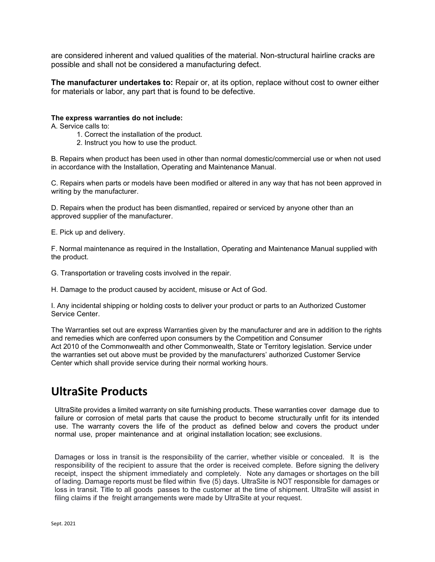are considered inherent and valued qualities of the material. Non-structural hairline cracks are possible and shall not be considered a manufacturing defect.

The manufacturer undertakes to: Repair or, at its option, replace without cost to owner either for materials or labor, any part that is found to be defective.

#### The express warranties do not include:

A. Service calls to:

- 1. Correct the installation of the product.
- 2. Instruct you how to use the product.

B. Repairs when product has been used in other than normal domestic/commercial use or when not used in accordance with the Installation, Operating and Maintenance Manual.

C. Repairs when parts or models have been modified or altered in any way that has not been approved in writing by the manufacturer.

D. Repairs when the product has been dismantled, repaired or serviced by anyone other than an approved supplier of the manufacturer.

E. Pick up and delivery.

F. Normal maintenance as required in the Installation, Operating and Maintenance Manual supplied with the product.

G. Transportation or traveling costs involved in the repair.

H. Damage to the product caused by accident, misuse or Act of God.

I. Any incidental shipping or holding costs to deliver your product or parts to an Authorized Customer Service Center.

The Warranties set out are express Warranties given by the manufacturer and are in addition to the rights and remedies which are conferred upon consumers by the Competition and Consumer Act 2010 of the Commonwealth and other Commonwealth, State or Territory legislation. Service under the warranties set out above must be provided by the manufacturers' authorized Customer Service Center which shall provide service during their normal working hours.

## UltraSite Products

UltraSite provides a limited warranty on site furnishing products. These warranties cover damage due to failure or corrosion of metal parts that cause the product to become structurally unfit for its intended use. The warranty covers the life of the product as defined below and covers the product under normal use, proper maintenance and at original installation location; see exclusions.

Damages or loss in transit is the responsibility of the carrier, whether visible or concealed. It is the responsibility of the recipient to assure that the order is received complete. Before signing the delivery receipt, inspect the shipment immediately and completely. Note any damages or shortages on the bill of lading. Damage reports must be filed within five (5) days. UltraSite is NOT responsible for damages or loss in transit. Title to all goods passes to the customer at the time of shipment. UltraSite will assist in filing claims if the freight arrangements were made by UltraSite at your request.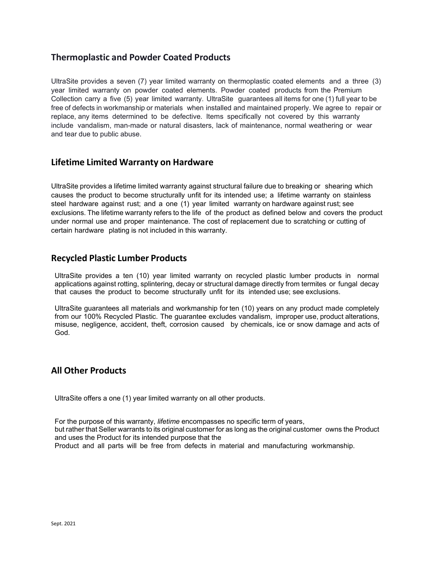## Thermoplastic and Powder Coated Products

UltraSite provides a seven (7) year limited warranty on thermoplastic coated elements and a three (3) year limited warranty on powder coated elements. Powder coated products from the Premium Collection carry a five (5) year limited warranty. UltraSite guarantees all items for one (1) full year to be free of defects in workmanship or materials when installed and maintained properly. We agree to repair or replace, any items determined to be defective. Items specifically not covered by this warranty include vandalism, man-made or natural disasters, lack of maintenance, normal weathering or wear and tear due to public abuse.

## Lifetime Limited Warranty on Hardware

UltraSite provides a lifetime limited warranty against structural failure due to breaking or shearing which causes the product to become structurally unfit for its intended use; a lifetime warranty on stainless steel hardware against rust; and a one (1) year limited warranty on hardware against rust; see exclusions. The lifetime warranty refers to the life of the product as defined below and covers the product under normal use and proper maintenance. The cost of replacement due to scratching or cutting of certain hardware plating is not included in this warranty.

## Recycled Plastic Lumber Products

UltraSite provides a ten (10) year limited warranty on recycled plastic lumber products in normal applications against rotting, splintering, decay or structural damage directly from termites or fungal decay that causes the product to become structurally unfit for its intended use; see exclusions.

UltraSite guarantees all materials and workmanship for ten (10) years on any product made completely from our 100% Recycled Plastic. The guarantee excludes vandalism, improper use, product alterations, misuse, negligence, accident, theft, corrosion caused by chemicals, ice or snow damage and acts of God.

## All Other Products

UltraSite offers a one (1) year limited warranty on all other products.

For the purpose of this warranty, *lifetime* encompasses no specific term of years, but rather that Seller warrants to its original customer for as long as the original customer owns the Product and uses the Product for its intended purpose that the Product and all parts will be free from defects in material and manufacturing workmanship.